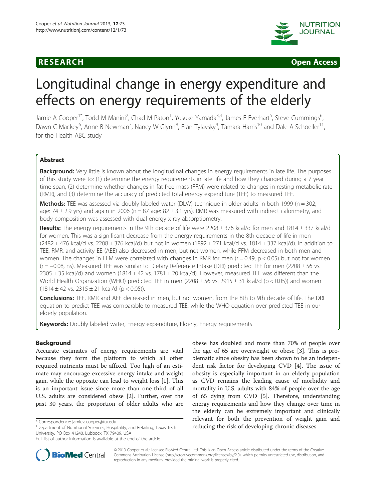



# Longitudinal change in energy expenditure and effects on energy requirements of the elderly

Jamie A Cooper<sup>1\*</sup>, Todd M Manini<sup>2</sup>, Chad M Paton<sup>1</sup>, Yosuke Yamada<sup>3,4</sup>, James E Everhart<sup>5</sup>, Steve Cummings<sup>6</sup> , Dawn C Mackey<sup>6</sup>, Anne B Newman<sup>7</sup>, Nancy W Glynn<sup>8</sup>, Fran Tylavsky<sup>9</sup>, Tamara Harris<sup>10</sup> and Dale A Schoeller<sup>11</sup>, for the Health ABC study

# Abstract

**Background:** Very little is known about the longitudinal changes in energy requirements in late life. The purposes of this study were to: (1) determine the energy requirements in late life and how they changed during a 7 year time-span, (2) determine whether changes in fat free mass (FFM) were related to changes in resting metabolic rate (RMR), and (3) determine the accuracy of predicted total energy expenditure (TEE) to measured TEE.

**Methods:** TEE was assessed via doubly labeled water (DLW) technique in older adults in both 1999 ( $n = 302$ ; age:  $74 \pm 2.9$  yrs) and again in 2006 (n = 87 age:  $82 \pm 3.1$  yrs). RMR was measured with indirect calorimetry, and body composition was assessed with dual-energy x-ray absorptiometry.

**Results:** The energy requirements in the 9th decade of life were 2208  $\pm$  376 kcal/d for men and 1814  $\pm$  337 kcal/d for women. This was a significant decrease from the energy requirements in the 8th decade of life in men  $(2482 \pm 476 \text{ kcal/d vs. } 2208 \pm 376 \text{ kcal/d})$  but not in women  $(1892 \pm 271 \text{ kcal/d vs. } 1814 \pm 337 \text{ kcal/d}).$  In addition to TEE, RMR, and activity EE (AEE) also decreased in men, but not women, while FFM decreased in both men and women. The changes in FFM were correlated with changes in RMR for men ( $r = 0.49$ ,  $p < 0.05$ ) but not for women (r = −0.08, ns). Measured TEE was similar to Dietary Reference Intake (DRI) predicted TEE for men (2208 ± 56 vs.  $2305 \pm 35$  kcal/d) and women (1814 $\pm$ 42 vs. 1781 $\pm$ 20 kcal/d). However, measured TEE was different than the World Health Organization (WHO) predicted TEE in men ( $2208 \pm 56$  vs.  $2915 \pm 31$  kcal/d (p < 0.05)) and women  $(1814 \pm 42 \text{ vs. } 2315 \pm 21 \text{ kcal/d } (p < 0.05)).$ 

**Conclusions:** TEE, RMR and AEE decreased in men, but not women, from the 8th to 9th decade of life. The DRI equation to predict TEE was comparable to measured TEE, while the WHO equation over-predicted TEE in our elderly population.

Keywords: Doubly labeled water, Energy expenditure, Elderly, Energy requirements

# Background

Accurate estimates of energy requirements are vital because they form the platform to which all other required nutrients must be affixed. Too high of an estimate may encourage excessive energy intake and weight gain, while the opposite can lead to weight loss [[1\]](#page-8-0). This is an important issue since more than one-third of all U.S. adults are considered obese [[2\]](#page-8-0). Further, over the past 30 years, the proportion of older adults who are

obese has doubled and more than 70% of people over the age of 65 are overweight or obese [[3\]](#page-8-0). This is problematic since obesity has been shown to be an independent risk factor for developing CVD [\[4\]](#page-8-0). The issue of obesity is especially important in an elderly population as CVD remains the leading cause of morbidity and mortality in U.S. adults with 84% of people over the age of 65 dying from CVD [\[5](#page-8-0)]. Therefore, understanding energy requirements and how they change over time in the elderly can be extremely important and clinically relevant for both the prevention of weight gain and \* Correspondence: [jamie.a.cooper@ttu.edu](mailto:jamie.a.cooper@ttu.edu)<br><sup>1</sup>Department of Nutritional Sciences, Hospitality, and Retailing, Texas Tech **and and and reducing the risk of developing chronic diseases.** 



© 2013 Cooper et al.; licensee BioMed Central Ltd. This is an Open Access article distributed under the terms of the Creative Commons Attribution License [\(http://creativecommons.org/licenses/by/2.0\)](http://creativecommons.org/licenses/by/2.0), which permits unrestricted use, distribution, and reproduction in any medium, provided the original work is properly cited.

University, PO Box 41240, Lubbock, TX 79409, USA

Full list of author information is available at the end of the article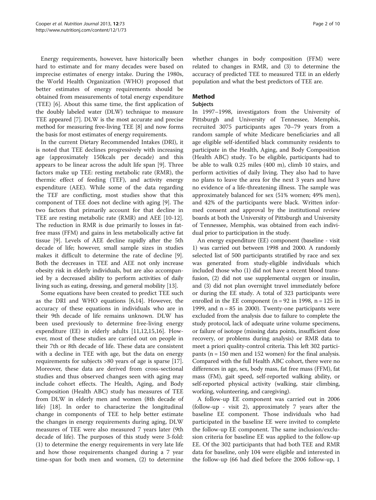Energy requirements, however, have historically been hard to estimate and for many decades were based on imprecise estimates of energy intake. During the 1980s, the World Health Organization (WHO) proposed that better estimates of energy requirements should be obtained from measurements of total energy expenditure (TEE) [[6](#page-8-0)]. About this same time, the first application of the doubly labeled water (DLW) technique to measure TEE appeared [\[7\]](#page-8-0). DLW is the most accurate and precise method for measuring free-living TEE [[8](#page-8-0)] and now forms the basis for most estimates of energy requirements.

In the current Dietary Recommended Intakes (DRI), it is noted that TEE declines progressively with increasing age (approximately 150kcals per decade) and this appears to be linear across the adult life span [[9\]](#page-8-0). Three factors make up TEE: resting metabolic rate (RMR), the thermic effect of feeding (TEF), and activity energy expenditure (AEE). While some of the data regarding the TEF are conflicting, most studies show that this component of TEE does not decline with aging [[9\]](#page-8-0). The two factors that primarily account for that decline in TEE are resting metabolic rate (RMR) and AEE [\[10](#page-8-0)[-12](#page-9-0)]. The reduction in RMR is due primarily to losses in fatfree mass (FFM) and gains in less metabolically active fat tissue [[9\]](#page-8-0). Levels of AEE decline rapidly after the 5th decade of life; however, small sample sizes in studies makes it difficult to determine the rate of decline [\[9](#page-8-0)]. Both the decreases in TEE and AEE not only increase obesity risk in elderly individuals, but are also accompanied by a decreased ability to perform activities of daily living such as eating, dressing, and general mobility [\[13\]](#page-9-0).

Some equations have been created to predict TEE such as the DRI and WHO equations [\[6](#page-8-0)[,14](#page-9-0)]. However, the accuracy of these equations in individuals who are in their 9th decade of life remains unknown. DLW has been used previously to determine free-living energy expenditure (EE) in elderly adults [\[11](#page-8-0)[,12,15,16](#page-9-0)]. However, most of these studies are carried out on people in their 7th or 8th decade of life. These data are consistent with a decline in TEE with age, but the data on energy requirements for subjects >80 years of age is sparse [\[17](#page-9-0)]. Moreover, these data are derived from cross-sectional studies and thus observed changes seen with aging may include cohort effects. The Health, Aging, and Body Composition (Health ABC) study has measures of TEE from DLW in elderly men and women (8th decade of life) [[18](#page-9-0)]. In order to characterize the longitudinal change in components of TEE to help better estimate the changes in energy requirements during aging, DLW measures of TEE were also measured 7 years later (9th decade of life). The purposes of this study were 3-fold: (1) to determine the energy requirements in very late life and how those requirements changed during a 7 year time-span for both men and women, (2) to determine whether changes in body composition (FFM) were related to changes in RMR, and (3) to determine the accuracy of predicted TEE to measured TEE in an elderly population and what the best predictors of TEE are.

# Method

# Subjects

In 1997–1998, investigators from the University of Pittsburgh and University of Tennessee, Memphis, recruited 3075 participants ages 70–79 years from a random sample of white Medicare beneficiaries and all age eligible self-identified black community residents to participate in the Health, Aging, and Body Composition (Health ABC) study. To be eligible, participants had to be able to walk 0.25 miles (400 m), climb 10 stairs, and perform activities of daily living. They also had to have no plans to leave the area for the next 3 years and have no evidence of a life-threatening illness. The sample was approximately balanced for sex (51% women; 49% men), and 42% of the participants were black. Written informed consent and approval by the institutional review boards at both the University of Pittsburgh and University of Tennessee, Memphis, was obtained from each individual prior to participation in the study.

An energy expenditure (EE) component (baseline - visit 1) was carried out between 1998 and 2000. A randomly selected list of 500 participants stratified by race and sex was generated from study-eligible individuals which included those who (1) did not have a recent blood transfusion, (2) did not use supplemental oxygen or insulin, and (3) did not plan overnight travel immediately before or during the EE study. A total of 323 participants were enrolled in the EE component ( $n = 92$  in 1998,  $n = 125$  in 1999, and  $n = 85$  in 2000). Twenty-one participants were excluded from the analysis due to failure to complete the study protocol, lack of adequate urine volume specimens, or failure of isotope (missing data points, insufficient dose recovery, or problems during analysis) or RMR data to meet a priori quality-control criteria. This left 302 participants (n = 150 men and 152 women) for the final analysis. Compared with the full Health ABC cohort, there were no differences in age, sex, body mass, fat free mass (FFM), fat mass (FM), gait speed, self-reported walking ability, or self-reported physical activity (walking, stair climbing, working, volunteering, and caregiving).

A follow-up EE component was carried out in 2006 (follow-up - visit 2), approximately 7 years after the baseline EE component. Those individuals who had participated in the baseline EE were invited to complete the follow-up EE component. The same inclusion/exclusion criteria for baseline EE was applied to the follow-up EE. Of the 302 participants that had both TEE and RMR data for baseline, only 104 were eligible and interested in the follow-up (66 had died before the 2006 follow-up, 1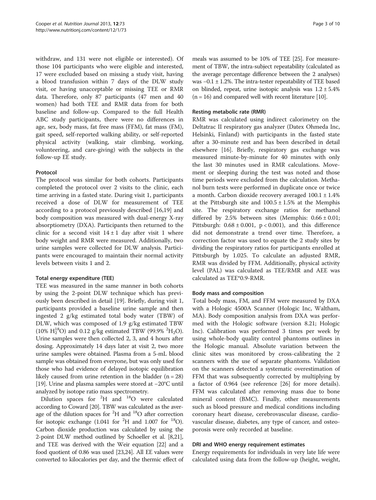withdraw, and 131 were not eligible or interested). Of those 104 participants who were eligible and interested, 17 were excluded based on missing a study visit, having a blood transfusion within 7 days of the DLW study visit, or having unacceptable or missing TEE or RMR data. Therefore, only 87 participants (47 men and 40 women) had both TEE and RMR data from for both baseline and follow-up. Compared to the full Health ABC study participants, there were no differences in age, sex, body mass, fat free mass (FFM), fat mass (FM), gait speed, self-reported walking ability, or self-reported physical activity (walking, stair climbing, working, volunteering, and care-giving) with the subjects in the follow-up EE study.

# Protocol

The protocol was similar for both cohorts. Participants completed the protocol over 2 visits to the clinic, each time arriving in a fasted state. During visit 1, participants received a dose of DLW for measurement of TEE according to a protocol previously described [\[16,19](#page-9-0)] and body composition was measured with dual-energy X-ray absorptiometry (DXA). Participants then returned to the clinic for a second visit  $14 \pm 1$  day after visit 1 where body weight and RMR were measured. Additionally, two urine samples were collected for DLW analysis. Participants were encouraged to maintain their normal activity levels between visits 1 and 2.

# Total energy expenditure (TEE)

TEE was measured in the same manner in both cohorts by using the 2-point DLW technique which has previously been described in detail [\[19](#page-9-0)]. Briefly, during visit 1, participants provided a baseline urine sample and then ingested 2 g/kg estimated total body water (TBW) of DLW, which was composed of 1.9 g/kg estimated TBW (10%  $H_2^{18}$ O) and 0.12 g/kg estimated TBW (99.9% <sup>2</sup>H<sub>2</sub>O). Urine samples were then collected 2, 3, and 4 hours after dosing. Approximately 14 days later at visit 2, two more urine samples were obtained. Plasma from a 5-mL blood sample was obtained from everyone, but was only used for those who had evidence of delayed isotopic equilibration likely caused from urine retention in the bladder  $(n = 28)$ [[19](#page-9-0)]. Urine and plasma samples were stored at −20°C until analyzed by isotope ratio mass spectrometry.

Dilution spaces for <sup>2</sup>H and <sup>18</sup>O were calculated according to Coward [\[20](#page-9-0)]. TBW was calculated as the average of the dilution spaces for <sup>2</sup>H and <sup>18</sup>O after correction for isotopic exchange  $(1.041$  for <sup>2</sup>H and 1.007 for <sup>18</sup>O). Carbon dioxide production was calculated by using the 2-point DLW method outlined by Schoeller et al. [\[8,](#page-8-0)[21](#page-9-0)], and TEE was derived with the Weir equation [\[22\]](#page-9-0) and a food quotient of 0.86 was used [[23,24\]](#page-9-0). All EE values were converted to kilocalories per day, and the thermic effect of meals was assumed to be 10% of TEE [[25](#page-9-0)]. For measurement of TBW, the intra-subject repeatability (calculated as the average percentage difference between the 2 analyses) was  $-0.1 \pm 1.2$ %. The intra-tester repeatability of TEE based on blinded, repeat, urine isotopic analysis was  $1.2 \pm 5.4\%$  $(n = 16)$  and compared well with recent literature [\[10\]](#page-8-0).

# Resting metabolic rate (RMR)

RMR was calculated using indirect calorimetry on the Deltatrac II respiratory gas analyzer (Datex Ohmeda Inc, Helsinki, Finland) with participants in the fasted state after a 30-minute rest and has been described in detail elsewhere [[16\]](#page-9-0). Briefly, respiratory gas exchange was measured minute-by-minute for 40 minutes with only the last 30 minutes used in RMR calculations. Movement or sleeping during the test was noted and those time periods were excluded from the calculation. Methanol burn tests were performed in duplicate once or twice a month. Carbon dioxide recovery averaged  $100.1 \pm 1.4\%$ at the Pittsburgh site and  $100.5 \pm 1.5\%$  at the Memphis site. The respiratory exchange ratios for methanol differed by 2.5% between sites (Memphis:  $0.66 \pm 0.01$ ; Pittsburgh:  $0.68 \pm 0.001$ ,  $p < 0.001$ ), and this difference did not demonstrate a trend over time. Therefore, a correction factor was used to equate the 2 study sites by dividing the respiratory ratios for participants enrolled at Pittsburgh by 1.025. To calculate an adjusted RMR, RMR was divided by FFM. Additionally, physical activity level (PAL) was calculated as TEE/RMR and AEE was calculated as TEE\*0.9-RMR.

# Body mass and composition

Total body mass, FM, and FFM were measured by DXA with a Hologic 4500A Scanner (Hologic Inc, Waltham, MA). Body composition analysis from DXA was performed with the Hologic software (version 8.21; Hologic Inc). Calibration was performed 3 times per week by using whole-body quality control phantoms outlines in the Hologic manual. Absolute variation between the clinic sites was monitored by cross-calibrating the 2 scanners with the use of separate phantoms. Validation on the scanners detected a systematic overestimation of FFM that was subsequently corrected by multiplying by a factor of 0.964 (see reference [\[26\]](#page-9-0) for more details). FFM was calculated after removing mass due to bone mineral content (BMC). Finally, other measurements such as blood pressure and medical conditions including coronary heart disease, cerebrovascular disease, cardiovascular disease, diabetes, any type of cancer, and osteoporosis were only recorded at baseline.

# DRI and WHO energy requirement estimates

Energy requirements for individuals in very late life were calculated using data from the follow-up (height, weight,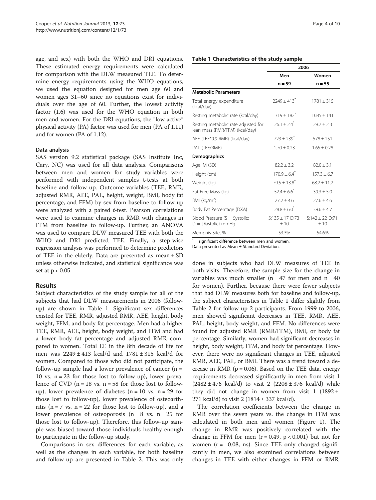age, and sex) with both the WHO and DRI equations. These estimated energy requirements were calculated for comparison with the DLW measured TEE. To determine energy requirements using the WHO equations, we used the equation designed for men age 60 and women ages 31–60 since no equations exist for individuals over the age of 60. Further, the lowest activity factor (1.6) was used for the WHO equation in both men and women. For the DRI equations, the "low active" physical activity (PA) factor was used for men (PA of 1.11) and for women (PA of 1.12).

# Data analysis

SAS version 9.2 statistical package (SAS Institute Inc, Cary, NC) was used for all data analysis. Comparisons between men and women for study variables were performed with independent samples t-tests at both baseline and follow-up. Outcome variables (TEE, RMR, adjusted RMR, AEE, PAL, height, weight, BMI, body fat percentage, and FFM) by sex from baseline to follow-up were analyzed with a paired t-test. Pearson correlations were used to examine changes in RMR with changes in FFM from baseline to follow-up. Further, an ANOVA was used to compare DLW measured TEE with both the WHO and DRI predicted TEE. Finally, a step-wise regression analysis was performed to determine predictors of TEE in the elderly. Data are presented as mean ± SD unless otherwise indicated, and statistical significance was set at p < 0.05.

# Results

Subject characteristics of the study sample for all of the subjects that had DLW measurements in 2006 (followup) are shown in Table 1. Significant sex differences existed for TEE, RMR, adjusted RMR, AEE, height, body weight, FFM, and body fat percentage. Men had a higher TEE, RMR, AEE, height, body weight, and FFM and had a lower body fat percentage and adjusted RMR compared to women. Total EE in the 8th decade of life for men was 2249 ± 413 kcal/d and 1781 ± 315 kcal/d for women. Compared to those who did not participate, the follow-up sample had a lower prevalence of cancer  $(n =$ 10 vs.  $n = 23$  for those lost to follow-up), lower prevalence of CVD  $(n = 18 \text{ vs. } n = 58 \text{ for those lost to follow-}$ up), lower prevalence of diabetes  $(n = 10 \text{ vs. } n = 29 \text{ for } n = 10 \text{ vs. } n = 29 \text{ for } n = 10 \text{ vs. } n = 29 \text{ for } n = 10 \text{ vs. } n = 29 \text{ for } n = 10 \text{ vs. } n = 10 \text{ vs. } n = 10 \text{ vs. } n = 10 \text{ vs. } n = 10 \text{ vs. } n = 10 \text{ vs. } n = 10 \text{ vs. } n = 10 \text{ vs. } n = 10 \text{ vs. } n =$ those lost to follow-up), lower prevalence of osteoarthritis ( $n = 7$  vs.  $n = 22$  for those lost to follow-up), and a lower prevalence of osteoporosis  $(n = 8 \text{ vs. } n = 25 \text{ for})$ those lost to follow-up). Therefore, this follow-up sample was biased toward those individuals healthy enough to participate in the follow-up study.

Comparisons in sex differences for each variable, as well as the changes in each variable, for both baseline and follow-up are presented in Table [2](#page-4-0). This was only

# Table 1 Characteristics of the study sample

|                                                                       | 2006                                                 |                |  |
|-----------------------------------------------------------------------|------------------------------------------------------|----------------|--|
|                                                                       | Men                                                  | Women          |  |
|                                                                       | $n = 59$                                             | $n = 55$       |  |
| <b>Metabolic Parameters</b>                                           |                                                      |                |  |
| Total energy expenditure<br>(kcal/day)                                | $7249 + 413$ <sup>*</sup>                            | $1781 + 315$   |  |
| Resting metabolic rate (kcal/day)                                     | $1319 + 182^{*}$                                     | $1085 + 141$   |  |
| Resting metabolic rate adjusted for<br>lean mass (RMR/FFM) (kcal/day) | $26.1 + 2.4$ <sup>*</sup>                            | $78.7 + 7.3$   |  |
| AEE (TEE*0.9-RMR) (kcal/day)                                          | $723 + 239$ <sup>*</sup>                             | $578 + 251$    |  |
| PAL (TEE/RMR)                                                         | $1.70 + 0.23$                                        | $1.65 + 0.28$  |  |
| Demographics                                                          |                                                      |                |  |
| Age, M (SD)                                                           | $82.2 + 3.2$                                         | $82.0 + 3.1$   |  |
| Height (cm)                                                           | $170.9 + 6.4$                                        | $157.3 + 6.7$  |  |
| Weight (kg)                                                           | $79.5 + 13.8$                                        | $68.2 + 11.2$  |  |
| Fat Free Mass (kg)                                                    | $52.4 \pm 6.6$                                       | $39.3 + 5.0$   |  |
| BMI ( $kg/m2$ )                                                       | $27.2 \pm 4.6$                                       | $27.6 \pm 4.6$ |  |
| Body Fat Percentage (DXA)                                             | $78.8 + 6.0^{\degree}$                               | $39.6 + 4.7$   |  |
| Blood Pressure $(S = Systolic;$<br>$D = Diastolic$ ) mmHg             | $S:135 + 17$ D:73<br>$S:142 + 22$ D:71<br>±10<br>±10 |                |  |
| Memphis Site, %                                                       | 53.3%                                                | 54.6%          |  |

 $^{*}$  = significant difference between men and women.

Data presented as Mean ± Standard Deviation.

done in subjects who had DLW measures of TEE in both visits. Therefore, the sample size for the change in variables was much smaller ( $n = 47$  for men and  $n = 40$ for women). Further, because there were fewer subjects that had DLW measures both for baseline and follow-up, the subject characteristics in Table 1 differ slightly from Table [2](#page-4-0) for follow-up 2 participants. From 1999 to 2006, men showed significant decreases in TEE, RMR, AEE, PAL, height, body weight, and FFM. No differences were found for adjusted RMR (RMR/FFM), BMI, or body fat percentage. Similarly, women had significant decreases in height, body weight, FFM, and body fat percentage. However, there were no significant changes in TEE, adjusted RMR, AEE, PAL, or BMI. There was a trend toward a decrease in RMR ( $p = 0.06$ ). Based on the TEE data, energy requirements decreased significantly in men from visit 1  $(2482 \pm 476 \text{ kcal/d})$  to visit 2  $(2208 \pm 376 \text{ kcal/d})$  while they did not change in women from visit 1  $(1892 \pm$ 271 kcal/d) to visit 2 (1814 ± 337 kcal/d).

The correlation coefficients between the change in RMR over the seven years vs. the change in FFM was calculated in both men and women (Figure [1](#page-4-0)). The change in RMR was positively correlated with the change in FFM for men  $(r = 0.49, p < 0.001)$  but not for women  $(r = -0.08, \text{ ns})$ . Since TEE only changed significantly in men, we also examined correlations between changes in TEE with either changes in FFM or RMR.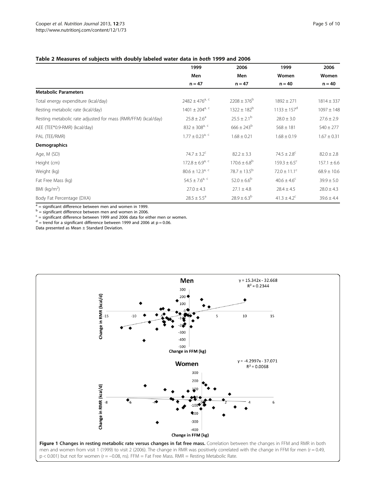<span id="page-4-0"></span>

|                                                               | 1999                            | 2006                    | 1999                        | 2006            |
|---------------------------------------------------------------|---------------------------------|-------------------------|-----------------------------|-----------------|
|                                                               | Men                             | Men                     | Women                       | Women           |
|                                                               | $n = 47$                        | $n = 47$                | $n = 40$                    | $n = 40$        |
| <b>Metabolic Parameters</b>                                   |                                 |                         |                             |                 |
| Total energy expenditure (kcal/day)                           | $2482 \pm 476$ <sup>a, c</sup>  | $2208 \pm 376^b$        | $1892 \pm 271$              | $1814 \pm 337$  |
| Resting metabolic rate (kcal/day)                             | $1401 \pm 204$ <sup>a, c</sup>  | $1322 \pm 182^b$        | $1133 \pm 157$ <sup>d</sup> | $1097 \pm 148$  |
| Resting metabolic rate adjusted for mass (RMR/FFM) (kcal/day) | $25.8 \pm 2.6^a$                | $25.5 \pm 2.1^{\circ}$  | $28.0 \pm 3.0$              | $27.6 \pm 2.9$  |
| AEE (TEE*0.9-RMR) (kcal/day)                                  | $832 \pm 308$ <sup>a, c</sup>   | $666 \pm 243^b$         | $568 \pm 181$               | $540 \pm 277$   |
| PAL (TEE/RMR)                                                 | $1.77 \pm 0.23$ <sup>a, c</sup> | $1.68 \pm 0.21$         | $1.68 \pm 0.19$             | $1.67 \pm 0.31$ |
| <b>Demographics</b>                                           |                                 |                         |                             |                 |
| Age, M (SD)                                                   | $74.7 \pm 3.2$ <sup>c</sup>     | $82.2 \pm 3.3$          | $74.5 \pm 2.8^{\circ}$      | $82.0 \pm 2.8$  |
| Height (cm)                                                   | $172.8 \pm 6.9^{a, c}$          | $170.6 \pm 6.8^b$       | $159.3 \pm 6.5^{\circ}$     | $157.1 \pm 6.6$ |
| Weight (kg)                                                   | $80.6 \pm 12.3$ <sup>a, c</sup> | $78.7 \pm 13.5^{\rm b}$ | $72.0 \pm 11.1^{\circ}$     | $68.9 \pm 10.6$ |
| Fat Free Mass (kg)                                            | $54.5 \pm 7.6^{a, c}$           | $52.0 \pm 6.6^b$        | $40.6 \pm 4.6^{\circ}$      | $39.9 \pm 5.0$  |
| BMI ( $kg/m2$ )                                               | $27.0 \pm 4.3$                  | $27.1 \pm 4.8$          | $28.4 \pm 4.5$              | $28.0 \pm 4.3$  |
| Body Fat Percentage (DXA)                                     | $28.5 \pm 5.5^{\circ}$          | $28.9 \pm 6.3^{b}$      | $41.3 \pm 4.2$ <sup>c</sup> | $39.6 \pm 4.4$  |

 $a =$  significant difference between men and women in 1999.

 $b =$  significant difference between men and women in 2006.

 $c =$  significant difference between 1999 and 2006 data for either men or women.

 $d =$  trend for a significant difference between 1999 and 2006 at p = 0.06.

Data presented as Mean ± Standard Deviation.

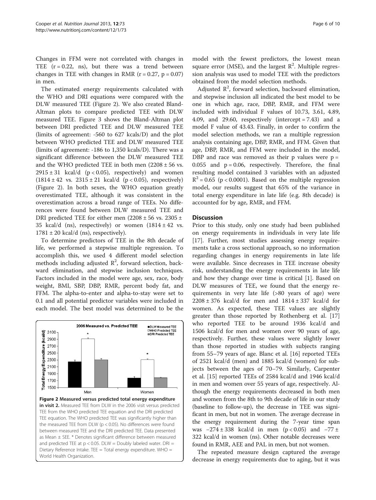Changes in FFM were not correlated with changes in TEE  $(r = 0.22, \text{ns})$ , but there was a trend between changes in TEE with changes in RMR  $(r = 0.27, p = 0.07)$ in men.

The estimated energy requirements calculated with the WHO and DRI equations were compared with the DLW measured TEE (Figure 2). We also created Bland-Altman plots to compare predicted TEE with DLW measured TEE. Figure [3](#page-6-0) shows the Bland-Altman plot between DRI predicted TEE and DLW measured TEE (limits of agreement: -560 to 627 kcals/D) and the plot between WHO predicted TEE and DLW measured TEE (limits of agreement: -186 to 1,350 kcals/D). There was a significant difference between the DLW measured TEE and the WHO predicted TEE in both men  $(2208 \pm 56 \text{ vs.})$  $2915 \pm 31$  kcal/d (p < 0.05), respectively) and women  $(1814 \pm 42 \text{ vs. } 2315 \pm 21 \text{ kcal/d } (p < 0.05)$ , respectively) (Figure 2). In both sexes, the WHO equation greatly overestimated TEE, although it was consistent in the overestimation across a broad range of TEEs. No differences were found between DLW measured TEE and DRI predicted TEE for either men  $(2208 \pm 56 \text{ vs. } 2305 \pm 1)$ 35 kcal/d (ns), respectively) or women  $(1814 \pm 42 \text{ vs.})$  $1781 \pm 20$  kcal/d (ns), respectively).

To determine predictors of TEE in the 8th decade of life, we performed a stepwise multiple regression. To accomplish this, we used 4 different model selection methods including adjusted  $\mathbb{R}^2$ , forward selection, backward elimination, and stepwise inclusion techniques. Factors included in the model were age, sex, race, body weight, BMI, SBP, DBP, RMR, percent body fat, and FFM. The alpha-to-enter and alpha-to-stay were set to 0.1 and all potential predictor variables were included in each model. The best model was determined to be the



model with the fewest predictors, the lowest mean square error (MSE), and the largest  $R^2$ . Multiple regression analysis was used to model TEE with the predictors obtained from the model selection methods.

Adjusted  $\mathbb{R}^2$ , forward selection, backward elimination, and stepwise inclusion all indicated the best model to be one in which age, race, DBP, RMR, and FFM were included with individual F values of 10.73, 3.61, 4.89, 4.09, and 29.60, respectively (intercept = 7.43) and a model F value of 43.43. Finally, in order to confirm the model selection methods, we ran a multiple regression analysis containing age, DBP, RMR, and FFM. Given that age, DBP, RMR, and FFM were included in the model, DBP and race was removed as their  $p$  values were  $p =$ 0.055 and  $p = 0.06$ , respectively. Therefore, the final resulting model contained 3 variables with an adjusted  $R^2$  = 0.65 (p < 0.0001). Based on the multiple regression model, our results suggest that 65% of the variance in total energy expenditure in late life (e.g. 8th decade) is accounted for by age, RMR, and FFM.

# **Discussion**

Prior to this study, only one study had been published on energy requirements in individuals in very late life [[17\]](#page-9-0). Further, most studies assessing energy requirements take a cross sectional approach, so no information regarding changes in energy requirements in late life were available. Since decreases in TEE increase obesity risk, understanding the energy requirements in late life and how they change over time is critical [\[1](#page-8-0)]. Based on DLW measures of TEE, we found that the energy requirements in very late life (>80 years of age) were  $2208 \pm 376$  kcal/d for men and  $1814 \pm 337$  kcal/d for women. As expected, these TEE values are slightly greater than those reported by Rothenberg et al. [[17](#page-9-0)] who reported TEE to be around 1936 kcal/d and 1506 kcal/d for men and women over 90 years of age, respectively. Further, these values were slightly lower than those reported in studies with subjects ranging from 55–79 years of age. Blanc et al. [[16\]](#page-9-0) reported TEEs of 2521 kcal/d (men) and 1885 kcal/d (women) for subjects between the ages of 70–79. Similarly, Carpenter et al. [\[15\]](#page-9-0) reported TEEs of 2584 kcal/d and 1946 kcal/d in men and women over 55 years of age, respectively. Although the energy requirements decreased in both men and women from the 8th to 9th decade of life in our study (baseline to follow-up), the decrease in TEE was significant in men, but not in women. The average decrease in the energy requirement during the 7-year time span was  $-274 \pm 338$  kcal/d in men (p < 0.05) and  $-77 \pm 16$ 322 kcal/d in women (ns). Other notable decreases were found in RMR, AEE and PAL in men, but not women.

The repeated measure design captured the average decrease in energy requirements due to aging, but it was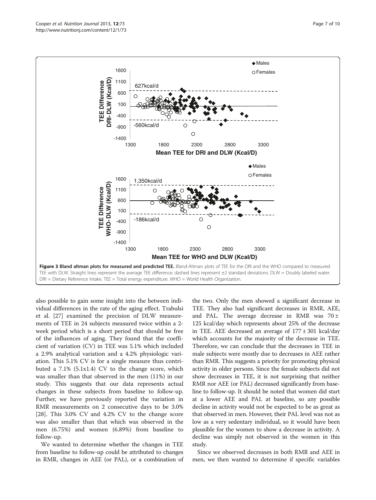<span id="page-6-0"></span>

also possible to gain some insight into the between individual differences in the rate of the aging effect. Trabulsi et al. [\[27](#page-9-0)] examined the precision of DLW measurements of TEE in 24 subjects measured twice within a 2 week period which is a short period that should be free of the influences of aging. They found that the coefficient of variation (CV) in TEE was 5.1% which included a 2.9% analytical variation and a 4.2% physiologic variation. This 5.1% CV is for a single measure thus contributed a 7.1% (5.1x1.4) CV to the change score, which was smaller than that observed in the men (11%) in our study. This suggests that our data represents actual changes in these subjects from baseline to follow-up. Further, we have previously reported the variation in RMR measurements on 2 consecutive days to be 3.0% [[28\]](#page-9-0). This 3.0% CV and 4.2% CV to the change score was also smaller than that which was observed in the men (6.75%) and women (6.89%) from baseline to follow-up.

We wanted to determine whether the changes in TEE from baseline to follow-up could be attributed to changes in RMR, changes in AEE (or PAL), or a combination of

the two. Only the men showed a significant decrease in TEE. They also had significant decreases in RMR, AEE, and PAL. The average decrease in RMR was  $70 \pm$ 125 kcal/day which represents about 25% of the decrease in TEE. AEE decreased an average of  $177 \pm 301$  kcal/day which accounts for the majority of the decrease in TEE. Therefore, we can conclude that the decreases in TEE in male subjects were mostly due to decreases in AEE rather than RMR. This suggests a priority for promoting physical activity in older persons. Since the female subjects did not show decreases in TEE, it is not surprising that neither RMR nor AEE (or PAL) decreased significantly from baseline to follow-up. It should be noted that women did start at a lower AEE and PAL at baseline, so any possible decline in activity would not be expected to be as great as that observed in men. However, their PAL level was not as low as a very sedentary individual, so it would have been plausible for the women to show a decrease in activity. A decline was simply not observed in the women in this study.

Since we observed decreases in both RMR and AEE in men, we then wanted to determine if specific variables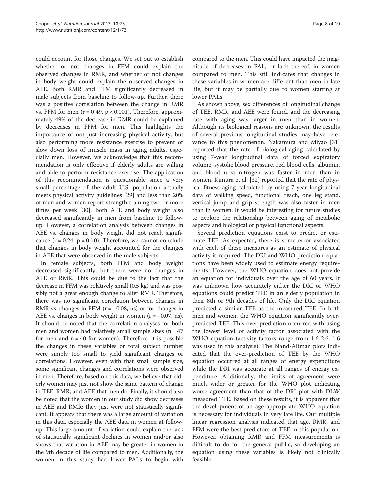could account for those changes. We set out to establish whether or not changes in FFM could explain the observed changes in RMR, and whether or not changes in body weight could explain the observed changes in AEE. Both RMR and FFM significantly decreased in male subjects from baseline to follow-up. Further, there was a positive correlation between the change in RMR vs. FFM for men ( $r = 0.49$ ,  $p < 0.001$ ). Therefore, approximately 49% of the decrease in RMR could be explained by decreases in FFM for men. This highlights the importance of not just increasing physical activity, but also performing more resistance exercise to prevent or slow down loss of muscle mass in aging adults, especially men. However, we acknowledge that this recommendation is only effective if elderly adults are willing and able to perform resistance exercise. The application of this recommendation is questionable since a very small percentage of the adult U.S. population actually meets physical activity guidelines [[29\]](#page-9-0) and less than 20% of men and women report strength training two or more times per week [[30](#page-9-0)]. Both AEE and body weight also decreased significantly in men from baseline to followup. However, a correlation analysis between changes in AEE vs. changes in body weight did not reach significance  $(r = 0.24, p = 0.10)$ . Therefore, we cannot conclude that changes in body weight accounted for the changes in AEE that were observed in the male subjects.

In female subjects, both FFM and body weight decreased significantly, but there were no changes in AEE or RMR. This could be due to the fact that the decrease in FFM was relatively small (0.5 kg) and was possibly not a great enough change to alter RMR. Therefore, there was no significant correlation between changes in RMR vs. changes in FFM ( $r = -0.08$ , ns) or for changes in AEE vs. changes in body weight in women  $(r = -0.07, ns)$ . It should be noted that the correlation analyses for both men and women had relatively small sample sizes ( $n = 47$ ) for men and  $n = 40$  for women). Therefore, it is possible the changes in these variables or total subject number were simply too small to yield significant changes or correlations. However, even with that small sample size, some significant changes and correlations were observed in men. Therefore, based on this data, we believe that elderly women may just not show the same pattern of change in TEE, RMR, and AEE that men do. Finally, it should also be noted that the women in our study did show decreases in AEE and RMR; they just were not statistically significant. It appears that there was a large amount of variation in this data, especially the AEE data in women at followup. This large amount of variation could explain the lack of statistically significant declines in women and/or also shows that variation in AEE may be greater in women in the 9th decade of life compared to men. Additionally, the women in this study had lower PALs to begin with

compared to the men. This could have impacted the magnitude of decreases in PAL, or lack thereof, in women compared to men. This still indicates that changes in these variables in women are different than men in late life, but it may be partially due to women starting at lower PALs.

As shown above, sex differences of longitudinal change of TEE, RMR, and AEE were found, and the decreasing rate with aging was larger in men than in women. Although its biological reasons are unknown, the results of several previous longitudinal studies may have relevance to this phenomenon. Nakamura and Miyao [[31](#page-9-0)] reported that the rate of biological aging calculated by using 7-year longitudinal data of forced expiratory volume, systolic blood pressure, red blood cells, albumin, and blood urea nitrogen was faster in men than in women. Kimura et al. [[32\]](#page-9-0) reported that the rate of physical fitness aging calculated by using 7-year longitudinal data of walking speed, functional reach, one leg stand, vertical jump and grip strength was also faster in men than in women. It would be interesting for future studies to explore the relationship between aging of metabolic aspects and biological or physical functional aspects.

Several prediction equations exist to predict or estimate TEE. As expected, there is some error associated with each of these measures as an estimate of physical activity is required. The DRI and WHO prediction equations have been widely used to estimate energy requirements. However, the WHO equation does not provide an equation for individuals over the age of 60 years. It was unknown how accurately either the DRI or WHO equations could predict TEE in an elderly population in their 8th or 9th decades of life. Only the DRI equation predicted a similar TEE as the measured TEE. In both men and women, the WHO equation significantly overpredicted TEE. This over-prediction occurred with using the lowest level of activity factor associated with the WHO equation (activity factors range from 1.6-2.6; 1.6 was used in this analysis). The Bland-Altman plots indicated that the over-prediction of TEE by the WHO equation occurred at all ranges of energy expenditure while the DRI was accurate at all ranges of energy expenditure. Additionally, the limits of agreement were much wider or greater for the WHO plot indicating worse agreement than that of the DRI plot with DLW measured TEE. Based on these results, it is apparent that the development of an age appropriate WHO equation is necessary for individuals in very late life. Our multiple linear regression analysis indicated that age, RMR, and FFM were the best predictors of TEE in this population. However, obtaining RMR and FFM measurements is difficult to do for the general public, so developing an equation using these variables is likely not clinically feasible.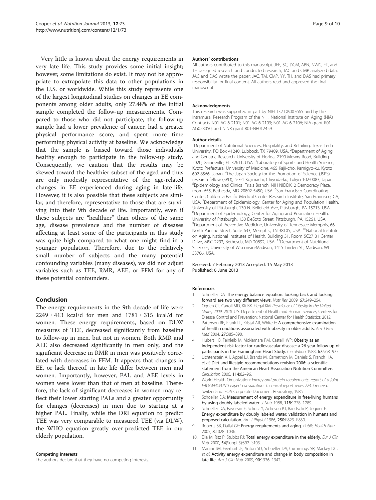<span id="page-8-0"></span>Very little is known about the energy requirements in very late life. This study provides some initial insight; however, some limitations do exist. It may not be appropriate to extrapolate this data to other populations in the U.S. or worldwide. While this study represents one of the largest longitudinal studies on changes in EE components among older adults, only 27.48% of the initial sample completed the follow-up measurements. Compared to those who did not participate, the follow-up sample had a lower prevalence of cancer, had a greater physical performance score, and spent more time performing physical activity at baseline. We acknowledge that the sample is biased toward those individuals healthy enough to participate in the follow-up study. Consequently, we caution that the results may be skewed toward the healthier subset of the aged and thus are only modestly representative of the age-related changes in EE experienced during aging in late-life. However, it is also possible that these subjects are similar, and therefore, representative to those that are surviving into their 9th decade of life. Importantly, even if these subjects are "healthier" than others of the same age, disease prevalence and the number of diseases affecting at least some of the participants in this study was quite high compared to what one might find in a younger population. Therefore, due to the relatively small number of subjects and the many potential confounding variables (many diseases), we did not adjust variables such as TEE, RMR, AEE, or FFM for any of these potential confounders.

# Conclusion

The energy requirements in the 9th decade of life were  $2249 \pm 413$  kcal/d for men and  $1781 \pm 315$  kcal/d for women. These energy requirements, based on DLW measures of TEE, decreased significantly from baseline to follow-up in men, but not in women. Both RMR and AEE also decreased significantly in men only, and the significant decrease in RMR in men was positively correlated with decreases in FFM. It appears that changes in EE, or lack thereof, in late life differ between men and women. Importantly, however, PAL and AEE levels in women were lower than that of men at baseline. Therefore, the lack of significant decreases in women may reflect their lower starting PALs and a greater opportunity for changes (decreases) in men due to starting at a higher PAL. Finally, while the DRI equation to predict TEE was very comparable to measured TEE (via DLW), the WHO equation greatly over-predicted TEE in our elderly population.

#### Competing interests

The authors declare that they have no competing interests.

#### Authors' contributions

All authors contributed to this manuscript. JEE, SC, DCM, ABN, NWG, FT, and TH designed research and conducted research; JAC and CMP analyzed data; JAC and DAS wrote the paper; JAC, TM, CMP, YY, TH, and DAS had primary responsibility for final content. All authors read and approved the final manuscript.

#### Acknowledgments

This research was supported in part by NIH T32 DK007665 and by the Intramural Research Program of the NIH, National Institute on Aging (NIA) Contracts N01-AG-6-2101; N01-AG-6-2103; N01-AG-6-2106; NIA grant R01- AG028050, and NINR grant R01-NR012459.

#### Author details

<sup>1</sup>Department of Nutritional Sciences, Hospitality, and Retailing, Texas Tech University, PO Box 41240, Lubbock, TX 79409, USA. <sup>2</sup>Department of Aging and Geriatric Research, University of Florida, 2199 Mowry Road, Building 2020, Gainesville, FL 32611, USA. <sup>3</sup>Laboratory of Sports and Health Science, Kyoto Prefectural University of Medicine, 465 Kajii-cho, Kamigyo-ku, Kyoto 602-8566, Japan. <sup>4</sup> The Japan Society for the Promotion of Science (JSPS) research fellow (SPD), 5-3-1 Kojimachi, Chiyoda-ku, Tokyo 102-0083, Japan. 5 Epidemiology and Clinical Trials Branch, NIH NIDDK, 2 Democracy Plaza, room 655, Bethesda, MD 20892-5450, USA. <sup>6</sup>San Francisco Coordinating Center, California Pacific Medical Center Research Institute, San Francisco, CA, USA. <sup>7</sup>Department of Epidemiology, Center for Aging and Population Health, University of Pittsburgh, 130 N. Bellefield Ave, Pittsburgh, PA 15213, USA. 8 Department of Epidemiology, Center for Aging and Population Health, University of Pittsburgh, 130 DeSoto Street, Pittsburgh, PA 15261, USA. <sup>9</sup>Department of Preventive Medicine, University of Tennessee-Memphis, 66 North Pauline Street, Suite 633, Memphis, TN 38105, USA. <sup>10</sup>National Institute on Aging, National Institutes of Health, Building 31, Room 5C27 31 Center Drive, MSC 2292, Bethesda, MD 20892, USA. <sup>11</sup> Department of Nutritional Sciences, University of Wisconsin-Madison, 1415 Linden St., Madison, WI 53706, USA.

### Received: 7 February 2013 Accepted: 15 May 2013 Published: 6 June 2013

#### References

- 1. Schoeller DA: The energy balance equation: looking back and looking forward are two very different views. Nutr Rev 2009, 67:249–254.
- 2. Ogden CL, Carroll MD, Kit BK, Flegal KM: Prevalence of Obesity in the United States, 2009–2010. U.S. Department of Health and Human Services; Centers for Disease Control and Prevention: National Center for Health Statistics; 2012.
- 3. Patterson RE, Frank LL, Kristal AR, White E: A comprehensive examination of health conditions associated with obesity in older adults. Am J Prev Med 2004, 27:385–390.
- 4. Hubert HB, Feinleib M, McNamara PM, Castelli WP: Obesity as an independent risk factor for cardiovascular disease: a 26-year follow-up of participants in the Framingham Heart Study. Circulation 1983, 67:968–977.
- 5. Lichtenstein AH, Appel LJ, Brands M, Carnethon M, Daniels S, Franch HA, et al: Diet and lifestyle recommendations revision 2006: a scientific statement from the American Heart Association Nutrition Committee. Circulation 2006, 114:82–96.
- 6. World Health Organization: Energy and protein requirements: report of a joint FAO/WHO/UNU expert consultation. Technical report series 724. Geneva, Switzerland: FOA Corporate Document Repository; 1985.
- 7. Schoeller DA: Measurement of energy expenditure in free-living humans by using doubly labeled water. J Nutr 1988, 118:1278-1289.
- 8. Schoeller DA, Ravussin E, Schutz Y, Acheson KJ, Baertschi P, Jequier E: Energy expenditure by doubly labeled water: validation in humans and proposed calculation. Am J Physiol 1986, 250:R823–R830.
- 9. Roberts SB, Dallal GE: Energy requirements and aging. Public Health Nutr 2005, 8:1028–1036.
- 10. Elia M, Ritz P, Stubbs RJ: Total energy expenditure in the elderly. Eur J Clin Nutr 2000, 54(Suppl 3):S92–S103.
- 11. Manini TM, Everhart JE, Anton SD, Schoeller DA, Cummings SR, Mackey DC, et al: Activity energy expenditure and change in body composition in late life. Am J Clin Nutr 2009, 90:1336–1342.